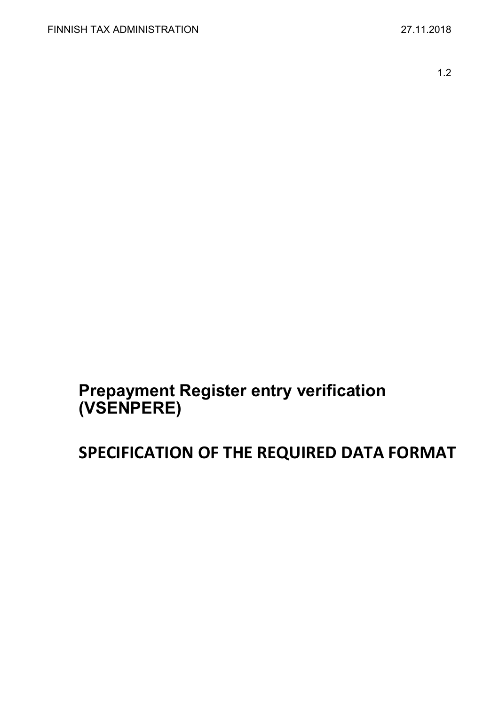1.2

# **Prepayment Register entry verification (VSENPERE)**

# **SPECIFICATION OF THE REQUIRED DATA FORMAT**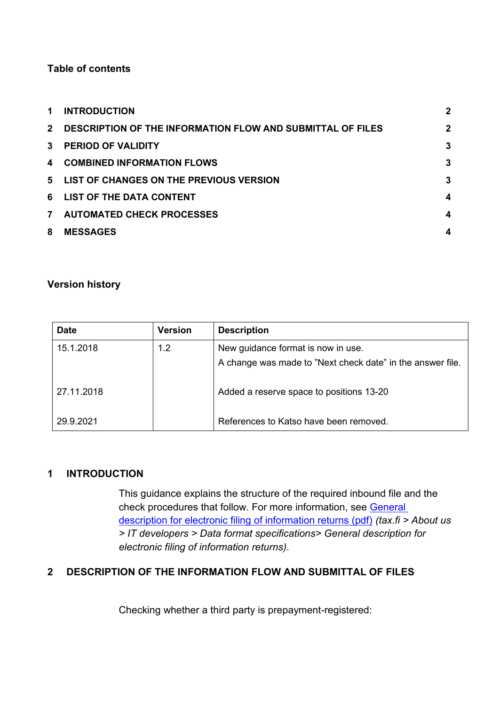# **Table of contents**

| $\mathbf 1$    | <b>INTRODUCTION</b>                                               | $\mathbf 2$ |
|----------------|-------------------------------------------------------------------|-------------|
| $2^{\circ}$    | <b>DESCRIPTION OF THE INFORMATION FLOW AND SUBMITTAL OF FILES</b> | $\mathbf 2$ |
| $\mathbf{3}$   | <b>PERIOD OF VALIDITY</b>                                         | 3           |
| $\mathbf 4$    | <b>COMBINED INFORMATION FLOWS</b>                                 | 3           |
|                | 5 LIST OF CHANGES ON THE PREVIOUS VERSION                         | 3           |
| 6              | <b>LIST OF THE DATA CONTENT</b>                                   | 4           |
| $\overline{7}$ | <b>AUTOMATED CHECK PROCESSES</b>                                  | 4           |
| 8              | <b>MESSAGES</b>                                                   |             |

#### **Version history**

| <b>Date</b> | <b>Version</b> | <b>Description</b>                                         |
|-------------|----------------|------------------------------------------------------------|
| 15.1.2018   | 1.2            | New guidance format is now in use.                         |
|             |                | A change was made to "Next check date" in the answer file. |
| 27.11.2018  |                | Added a reserve space to positions 13-20                   |
| 29.9.2021   |                | References to Katso have been removed.                     |

#### <span id="page-1-0"></span>**1 INTRODUCTION**

This guidance explains the structure of the required inbound file and the check procedures that follow. For more information, see [General](https://www.vero.fi/globalassets/tietoa-verohallinnosta/ohjelmistokehittajille/finnish-tax-administration_electronic-filing-of-information-returns-general-description.pdf)  [description for electronic filing of information returns \(pdf\)](https://www.vero.fi/globalassets/tietoa-verohallinnosta/ohjelmistokehittajille/finnish-tax-administration_electronic-filing-of-information-returns-general-description.pdf) *(tax.fi > About us > IT developers > Data format specifications> General description for electronic filing of information returns)*.

#### <span id="page-1-1"></span>**2 DESCRIPTION OF THE INFORMATION FLOW AND SUBMITTAL OF FILES**

Checking whether a third party is prepayment-registered: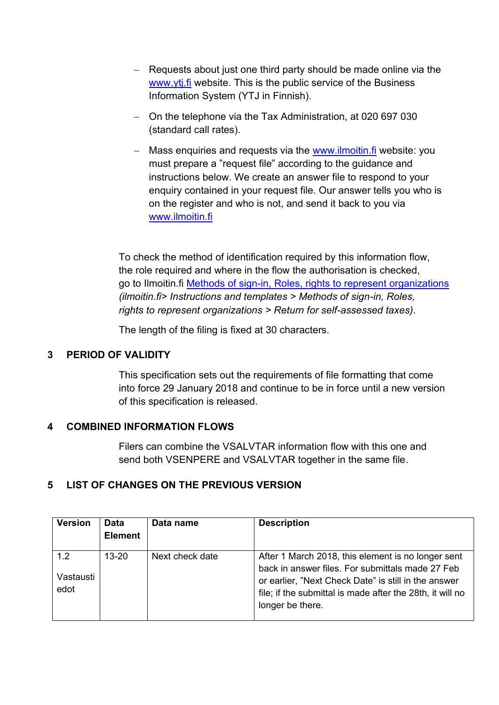- − Requests about just one third party should be made online via the [www.ytj.fi](https://www.ytj.fi/en/index.html) website. This is the public service of the Business Information System (YTJ in Finnish).
- − On the telephone via the Tax Administration, at 020 697 030 (standard call rates).
- − Mass enquiries and requests via the [www.ilmoitin.fi](http://www.ilmoitin.fi/) website: you must prepare a "request file" according to the guidance and instructions below. We create an answer file to respond to your enquiry contained in your request file. Our answer tells you who is on the register and who is not, and send it back to you via [www.ilmoitin.fi](https://www.ilmoitin.fi/webtamo/sivut/Esittelysivu?kieli=en)

To check the method of identification required by this information flow, the role required and where in the flow the authorisation is checked, go to Ilmoitin.fi [Methods of sign-in, Roles, rights to represent organizations](https://www.ilmoitin.fi/webtamo/sivut/IlmoituslajiRoolit?kieli=en&tv=VSENPERE) *(ilmoitin.fi> Instructions and templates > Methods of sign-in, Roles, rights to represent organizations > Return for self-assessed taxes)*.

The length of the filing is fixed at 30 characters.

# <span id="page-2-0"></span>**3 PERIOD OF VALIDITY**

This specification sets out the requirements of file formatting that come into force 29 January 2018 and continue to be in force until a new version of this specification is released.

#### <span id="page-2-1"></span>**4 COMBINED INFORMATION FLOWS**

Filers can combine the VSALVTAR information flow with this one and send both VSENPERE and VSALVTAR together in the same file.

#### <span id="page-2-2"></span>**5 LIST OF CHANGES ON THE PREVIOUS VERSION**

| <b>Version</b>           | <b>Data</b><br><b>Element</b> | Data name       | <b>Description</b>                                                                                                                                                                                                                              |
|--------------------------|-------------------------------|-----------------|-------------------------------------------------------------------------------------------------------------------------------------------------------------------------------------------------------------------------------------------------|
| 1.2<br>Vastausti<br>edot | $13 - 20$                     | Next check date | After 1 March 2018, this element is no longer sent<br>back in answer files. For submittals made 27 Feb<br>or earlier, "Next Check Date" is still in the answer<br>file; if the submittal is made after the 28th, it will no<br>longer be there. |